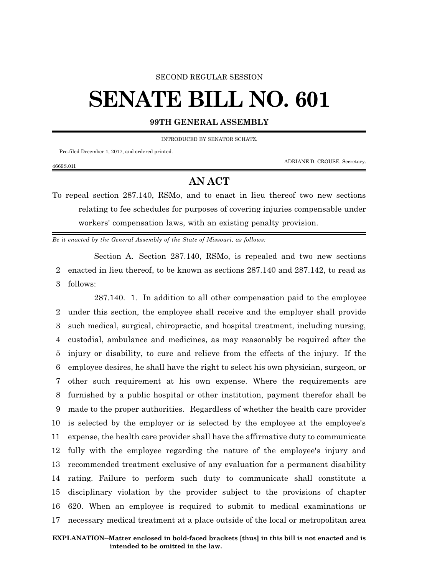## SECOND REGULAR SESSION

## **SENATE BILL NO. 601**

**99TH GENERAL ASSEMBLY**

INTRODUCED BY SENATOR SCHATZ.

Pre-filed December 1, 2017, and ordered printed.

4669S.01I

ADRIANE D. CROUSE, Secretary.

## **AN ACT**

To repeal section 287.140, RSMo, and to enact in lieu thereof two new sections relating to fee schedules for purposes of covering injuries compensable under workers' compensation laws, with an existing penalty provision.

*Be it enacted by the General Assembly of the State of Missouri, as follows:*

Section A. Section 287.140, RSMo, is repealed and two new sections 2 enacted in lieu thereof, to be known as sections 287.140 and 287.142, to read as 3 follows:

287.140. 1. In addition to all other compensation paid to the employee under this section, the employee shall receive and the employer shall provide such medical, surgical, chiropractic, and hospital treatment, including nursing, custodial, ambulance and medicines, as may reasonably be required after the injury or disability, to cure and relieve from the effects of the injury. If the employee desires, he shall have the right to select his own physician, surgeon, or other such requirement at his own expense. Where the requirements are furnished by a public hospital or other institution, payment therefor shall be made to the proper authorities. Regardless of whether the health care provider is selected by the employer or is selected by the employee at the employee's expense, the health care provider shall have the affirmative duty to communicate fully with the employee regarding the nature of the employee's injury and recommended treatment exclusive of any evaluation for a permanent disability rating. Failure to perform such duty to communicate shall constitute a disciplinary violation by the provider subject to the provisions of chapter 620. When an employee is required to submit to medical examinations or necessary medical treatment at a place outside of the local or metropolitan area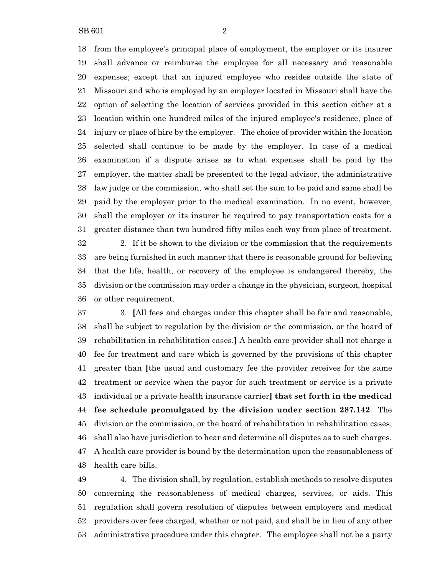from the employee's principal place of employment, the employer or its insurer shall advance or reimburse the employee for all necessary and reasonable expenses; except that an injured employee who resides outside the state of Missouri and who is employed by an employer located in Missouri shall have the option of selecting the location of services provided in this section either at a location within one hundred miles of the injured employee's residence, place of injury or place of hire by the employer. The choice of provider within the location selected shall continue to be made by the employer. In case of a medical examination if a dispute arises as to what expenses shall be paid by the employer, the matter shall be presented to the legal advisor, the administrative law judge or the commission, who shall set the sum to be paid and same shall be paid by the employer prior to the medical examination. In no event, however, shall the employer or its insurer be required to pay transportation costs for a greater distance than two hundred fifty miles each way from place of treatment.

 2. If it be shown to the division or the commission that the requirements are being furnished in such manner that there is reasonable ground for believing that the life, health, or recovery of the employee is endangered thereby, the division or the commission may order a change in the physician, surgeon, hospital or other requirement.

 3. **[**All fees and charges under this chapter shall be fair and reasonable, shall be subject to regulation by the division or the commission, or the board of rehabilitation in rehabilitation cases.**]** A health care provider shall not charge a fee for treatment and care which is governed by the provisions of this chapter greater than **[**the usual and customary fee the provider receives for the same treatment or service when the payor for such treatment or service is a private individual or a private health insurance carrier**] that set forth in the medical fee schedule promulgated by the division under section 287.142**. The division or the commission, or the board of rehabilitation in rehabilitation cases, shall also have jurisdiction to hear and determine all disputes as to such charges. A health care provider is bound by the determination upon the reasonableness of health care bills.

 4. The division shall, by regulation, establish methods to resolve disputes concerning the reasonableness of medical charges, services, or aids. This regulation shall govern resolution of disputes between employers and medical providers over fees charged, whether or not paid, and shall be in lieu of any other administrative procedure under this chapter. The employee shall not be a party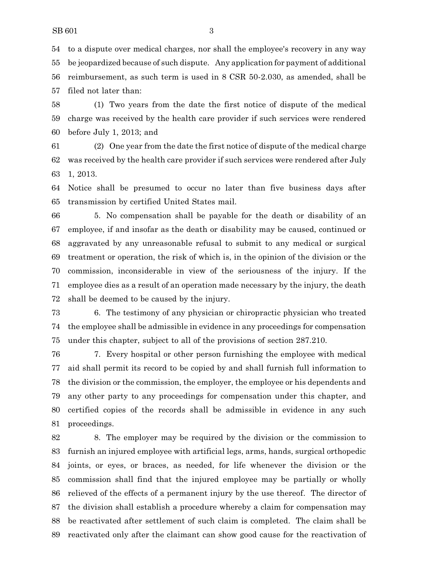to a dispute over medical charges, nor shall the employee's recovery in any way be jeopardized because of such dispute. Any application for payment of additional reimbursement, as such term is used in 8 CSR 50-2.030, as amended, shall be filed not later than:

 (1) Two years from the date the first notice of dispute of the medical charge was received by the health care provider if such services were rendered before July 1, 2013; and

 (2) One year from the date the first notice of dispute of the medical charge was received by the health care provider if such services were rendered after July 1, 2013.

 Notice shall be presumed to occur no later than five business days after transmission by certified United States mail.

 5. No compensation shall be payable for the death or disability of an employee, if and insofar as the death or disability may be caused, continued or aggravated by any unreasonable refusal to submit to any medical or surgical treatment or operation, the risk of which is, in the opinion of the division or the commission, inconsiderable in view of the seriousness of the injury. If the employee dies as a result of an operation made necessary by the injury, the death shall be deemed to be caused by the injury.

 6. The testimony of any physician or chiropractic physician who treated the employee shall be admissible in evidence in any proceedings for compensation under this chapter, subject to all of the provisions of section 287.210.

 7. Every hospital or other person furnishing the employee with medical aid shall permit its record to be copied by and shall furnish full information to the division or the commission, the employer, the employee or his dependents and any other party to any proceedings for compensation under this chapter, and certified copies of the records shall be admissible in evidence in any such proceedings.

 8. The employer may be required by the division or the commission to furnish an injured employee with artificial legs, arms, hands, surgical orthopedic joints, or eyes, or braces, as needed, for life whenever the division or the commission shall find that the injured employee may be partially or wholly relieved of the effects of a permanent injury by the use thereof. The director of the division shall establish a procedure whereby a claim for compensation may be reactivated after settlement of such claim is completed. The claim shall be reactivated only after the claimant can show good cause for the reactivation of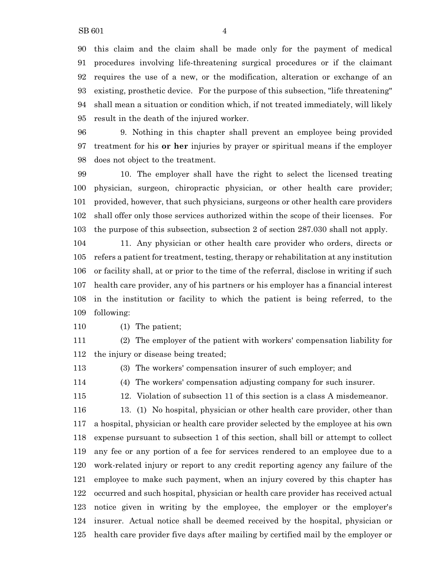this claim and the claim shall be made only for the payment of medical procedures involving life-threatening surgical procedures or if the claimant requires the use of a new, or the modification, alteration or exchange of an existing, prosthetic device. For the purpose of this subsection, "life threatening" shall mean a situation or condition which, if not treated immediately, will likely result in the death of the injured worker.

 9. Nothing in this chapter shall prevent an employee being provided treatment for his **or her** injuries by prayer or spiritual means if the employer does not object to the treatment.

 10. The employer shall have the right to select the licensed treating physician, surgeon, chiropractic physician, or other health care provider; provided, however, that such physicians, surgeons or other health care providers shall offer only those services authorized within the scope of their licenses. For the purpose of this subsection, subsection 2 of section 287.030 shall not apply.

 11. Any physician or other health care provider who orders, directs or refers a patient for treatment, testing, therapy or rehabilitation at any institution or facility shall, at or prior to the time of the referral, disclose in writing if such health care provider, any of his partners or his employer has a financial interest in the institution or facility to which the patient is being referred, to the following:

(1) The patient;

 (2) The employer of the patient with workers' compensation liability for the injury or disease being treated;

(3) The workers' compensation insurer of such employer; and

(4) The workers' compensation adjusting company for such insurer.

12. Violation of subsection 11 of this section is a class A misdemeanor.

 13. (1) No hospital, physician or other health care provider, other than a hospital, physician or health care provider selected by the employee at his own expense pursuant to subsection 1 of this section, shall bill or attempt to collect any fee or any portion of a fee for services rendered to an employee due to a work-related injury or report to any credit reporting agency any failure of the employee to make such payment, when an injury covered by this chapter has occurred and such hospital, physician or health care provider has received actual notice given in writing by the employee, the employer or the employer's insurer. Actual notice shall be deemed received by the hospital, physician or health care provider five days after mailing by certified mail by the employer or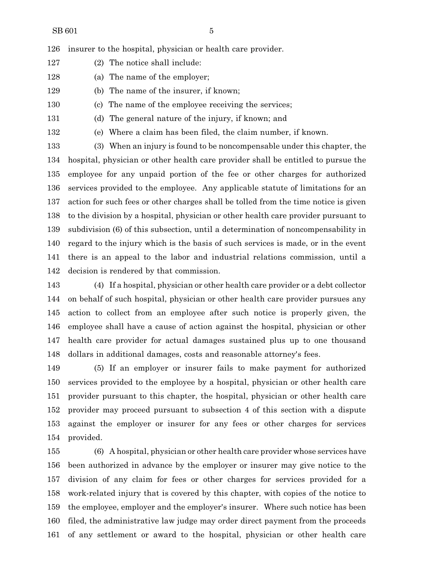insurer to the hospital, physician or health care provider.

- (2) The notice shall include:
- (a) The name of the employer;
- (b) The name of the insurer, if known;
- (c) The name of the employee receiving the services;
- (d) The general nature of the injury, if known; and

(e) Where a claim has been filed, the claim number, if known.

 (3) When an injury is found to be noncompensable under this chapter, the hospital, physician or other health care provider shall be entitled to pursue the employee for any unpaid portion of the fee or other charges for authorized services provided to the employee. Any applicable statute of limitations for an action for such fees or other charges shall be tolled from the time notice is given to the division by a hospital, physician or other health care provider pursuant to subdivision (6) of this subsection, until a determination of noncompensability in regard to the injury which is the basis of such services is made, or in the event there is an appeal to the labor and industrial relations commission, until a decision is rendered by that commission.

 (4) If a hospital, physician or other health care provider or a debt collector on behalf of such hospital, physician or other health care provider pursues any action to collect from an employee after such notice is properly given, the employee shall have a cause of action against the hospital, physician or other health care provider for actual damages sustained plus up to one thousand dollars in additional damages, costs and reasonable attorney's fees.

 (5) If an employer or insurer fails to make payment for authorized services provided to the employee by a hospital, physician or other health care provider pursuant to this chapter, the hospital, physician or other health care provider may proceed pursuant to subsection 4 of this section with a dispute against the employer or insurer for any fees or other charges for services provided.

 (6) A hospital, physician or other health care provider whose services have been authorized in advance by the employer or insurer may give notice to the division of any claim for fees or other charges for services provided for a work-related injury that is covered by this chapter, with copies of the notice to the employee, employer and the employer's insurer. Where such notice has been filed, the administrative law judge may order direct payment from the proceeds of any settlement or award to the hospital, physician or other health care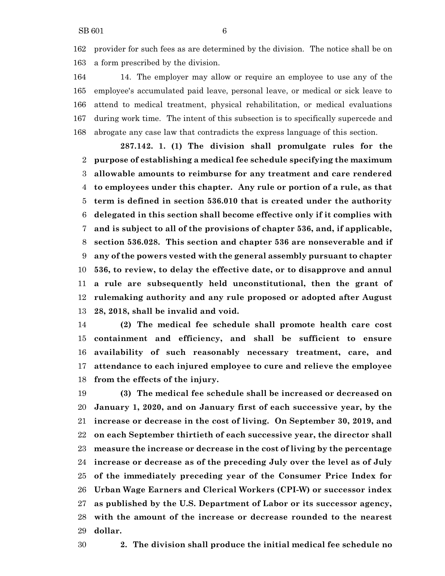provider for such fees as are determined by the division. The notice shall be on a form prescribed by the division.

 14. The employer may allow or require an employee to use any of the employee's accumulated paid leave, personal leave, or medical or sick leave to attend to medical treatment, physical rehabilitation, or medical evaluations during work time. The intent of this subsection is to specifically supercede and abrogate any case law that contradicts the express language of this section.

**287.142. 1. (1) The division shall promulgate rules for the purpose of establishing a medical fee schedule specifying the maximum allowable amounts to reimburse for any treatment and care rendered to employees under this chapter. Any rule or portion of a rule, as that term is defined in section 536.010 that is created under the authority delegated in this section shall become effective only if it complies with and is subject to all of the provisions of chapter 536, and, if applicable, section 536.028. This section and chapter 536 are nonseverable and if any of the powers vested with the general assembly pursuant to chapter 536, to review, to delay the effective date, or to disapprove and annul a rule are subsequently held unconstitutional, then the grant of rulemaking authority and any rule proposed or adopted after August 28, 2018, shall be invalid and void.**

 **(2) The medical fee schedule shall promote health care cost containment and efficiency, and shall be sufficient to ensure availability of such reasonably necessary treatment, care, and attendance to each injured employee to cure and relieve the employee from the effects of the injury.**

 **(3) The medical fee schedule shall be increased or decreased on January 1, 2020, and on January first of each successive year, by the increase or decrease in the cost of living. On September 30, 2019, and on each September thirtieth of each successive year, the director shall measure the increase or decrease in the cost of living by the percentage increase or decrease as of the preceding July over the level as of July of the immediately preceding year of the Consumer Price Index for Urban Wage Earners and Clerical Workers (CPI-W) or successor index as published by the U.S. Department of Labor or its successor agency, with the amount of the increase or decrease rounded to the nearest dollar.**

**2. The division shall produce the initial medical fee schedule no**